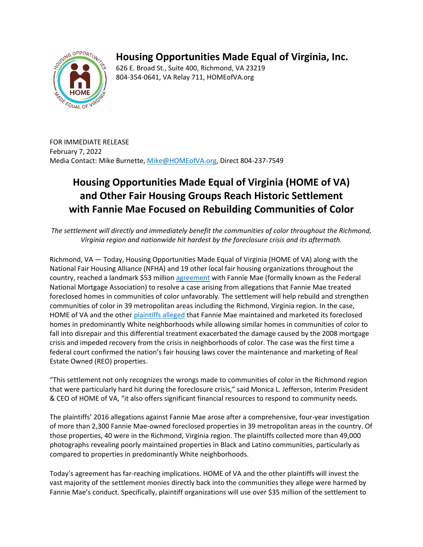

## **Housing Opportunities Made Equal of Virginia, Inc.**

626 E. Broad St., Suite 400, Richmond, VA 23219 804-354-0641, VA Relay 711, HOMEofVA.org

FOR IMMEDIATE RELEASE February 7, 2022 Media Contact: Mike Burnette, [Mike@HOMEofVA.org,](mailto:Mike@HOMEofVA.org) Direct 804-237-7549

## **Housing Opportunities Made Equal of Virginia (HOME of VA) and Other Fair Housing Groups Reach Historic Settlement with Fannie Mae Focused on Rebuilding Communities of Color**

*The settlement will directly and immediately benefit the communities of color throughout the Richmond, Virginia region and nationwide hit hardest by the foreclosure crisis and its aftermath.* 

Richmond, VA — Today, Housing Opportunities Made Equal of Virginia (HOME of VA) along with the National Fair Housing Alliance (NFHA) and 19 other local fair housing organizations throughout the country, reached a landmark \$53 million [agreement](http://homeofva.org/wp-content/uploads/2022/02/FM_Settlement_2022.pdf) with Fannie Mae (formally known as the Federal National Mortgage Association) to resolve a case arising from allegations that Fannie Mae treated foreclosed homes in communities of color unfavorably. The settlement will help rebuild and strengthen communities of color in 39 metropolitan areas including the Richmond, Virginia region. In the case, HOME of VA and the othe[r](https://nationalfairhousing.org/wp-content/uploads/2021/07/Lawsuit-Against-Fannie-Mae.pdf) [plaintiffs alleged](https://nationalfairhousing.org/wp-content/uploads/2021/07/Lawsuit-Against-Fannie-Mae.pdf) that Fannie Mae maintained and marketed its foreclosed homes in predominantly White neighborhoods while allowing similar homes in communities of color to fall into disrepair and this differential treatment exacerbated the damage caused by the 2008 mortgage crisis and impeded recovery from the crisis in neighborhoods of color. The case was the first time a federal court confirmed the nation's fair housing laws cover the maintenance and marketing of Real Estate Owned (REO) properties.

"This settlement not only recognizes the wrongs made to communities of color in the Richmond region that were particularly hard hit during the foreclosure crisis," said Monica L. Jefferson, Interim President & CEO of HOME of VA, "it also offers significant financial resources to respond to community needs.

The plaintiffs' 2016 allegations against Fannie Mae arose after a comprehensive, four-year investigation of more than 2,300 Fannie Mae-owned foreclosed properties in 39 metropolitan areas in the country. Of those properties, 40 were in the Richmond, Virginia region. The plaintiffs collected more than 49,000 photographs revealing poorly maintained properties in Black and Latino communities, particularly as compared to properties in predominantly White neighborhoods.

Today's agreement has far-reaching implications. HOME of VA and the other plaintiffs will invest the vast majority of the settlement monies directly back into the communities they allege were harmed by Fannie Mae's conduct. Specifically, plaintiff organizations will use over \$35 million of the settlement to